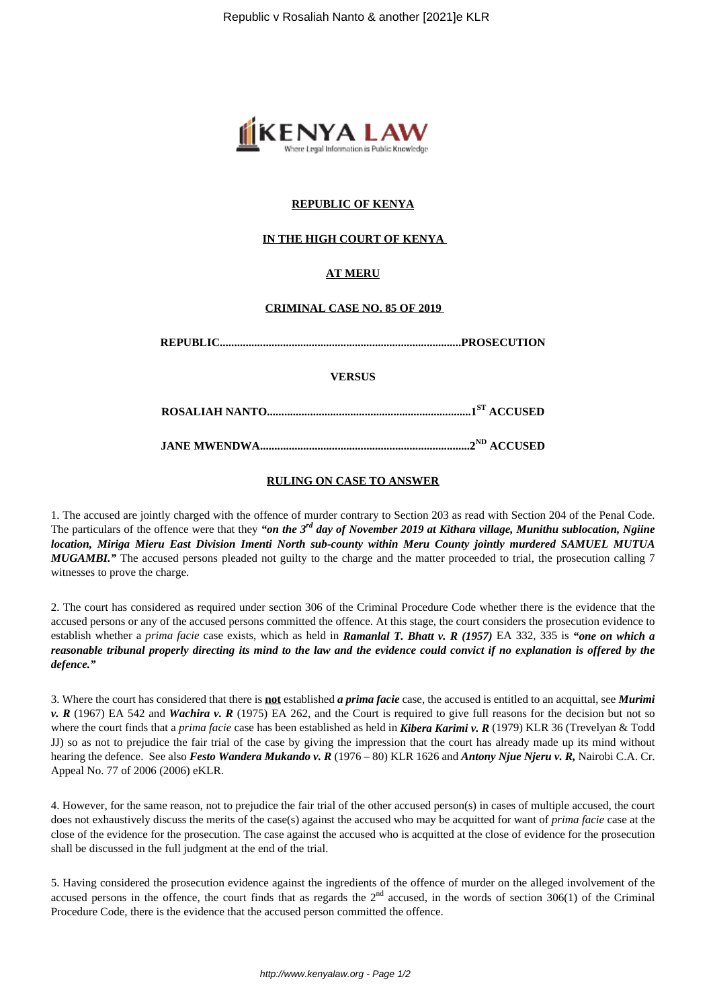

### **REPUBLIC OF KENYA**

### **IN THE HIGH COURT OF KENYA**

## **AT MERU**

#### **CRIMINAL CASE NO. 85 OF 2019**

|--|--|

**VERSUS**

**ROSALIAH NANTO.......................................................................1ST ACCUSED**

**JANE MWENDWA.........................................................................2ND ACCUSED**

#### **RULING ON CASE TO ANSWER**

1. The accused are jointly charged with the offence of murder contrary to Section 203 as read with Section 204 of the Penal Code. The particulars of the offence were that they *"on the 3rd day of November 2019 at Kithara village, Munithu sublocation, Ngiine location, Miriga Mieru East Division Imenti North sub-county within Meru County jointly murdered SAMUEL MUTUA MUGAMBI.*" The accused persons pleaded not guilty to the charge and the matter proceeded to trial, the prosecution calling 7 witnesses to prove the charge.

2. The court has considered as required under section 306 of the Criminal Procedure Code whether there is the evidence that the accused persons or any of the accused persons committed the offence. At this stage, the court considers the prosecution evidence to establish whether a *prima facie* case exists, which as held in *Ramanlal T. Bhatt v. R (1957)* EA 332, 335 is *"one on which a reasonable tribunal properly directing its mind to the law and the evidence could convict if no explanation is offered by the defence."*

3. Where the court has considered that there is **not** established *a prima facie* case, the accused is entitled to an acquittal, see *Murimi v. R* (1967) EA 542 and *Wachira v. R* (1975) EA 262, and the Court is required to give full reasons for the decision but not so where the court finds that a *prima facie* case has been established as held in *Kibera Karimi v. R* (1979) KLR 36 (Trevelyan & Todd JJ) so as not to prejudice the fair trial of the case by giving the impression that the court has already made up its mind without hearing the defence. See also *Festo Wandera Mukando v. R* (1976 – 80) KLR 1626 and *Antony Njue Njeru v. R,* Nairobi C.A. Cr. Appeal No. 77 of 2006 (2006) eKLR.

4. However, for the same reason, not to prejudice the fair trial of the other accused person(s) in cases of multiple accused, the court does not exhaustively discuss the merits of the case(s) against the accused who may be acquitted for want of *prima facie* case at the close of the evidence for the prosecution. The case against the accused who is acquitted at the close of evidence for the prosecution shall be discussed in the full judgment at the end of the trial.

5. Having considered the prosecution evidence against the ingredients of the offence of murder on the alleged involvement of the accused persons in the offence, the court finds that as regards the  $2<sup>nd</sup>$  accused, in the words of section 306(1) of the Criminal Procedure Code, there is the evidence that the accused person committed the offence.